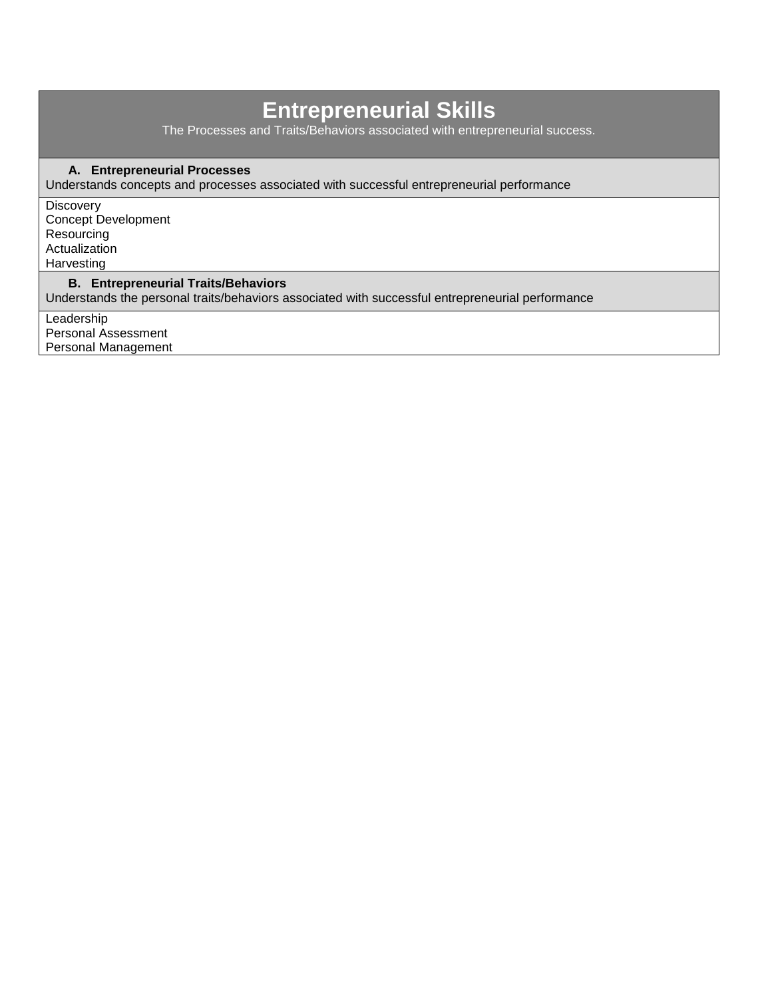# **Entrepreneurial Skills**

The Processes and Traits/Behaviors associated with entrepreneurial success.

### **A. Entrepreneurial Processes**

Understands concepts and processes associated with successful entrepreneurial performance

**Discovery** Concept Development Resourcing Actualization Harvesting

### **B. Entrepreneurial Traits/Behaviors**

Understands the personal traits/behaviors associated with successful entrepreneurial performance

**Leadership** Personal Assessment Personal Management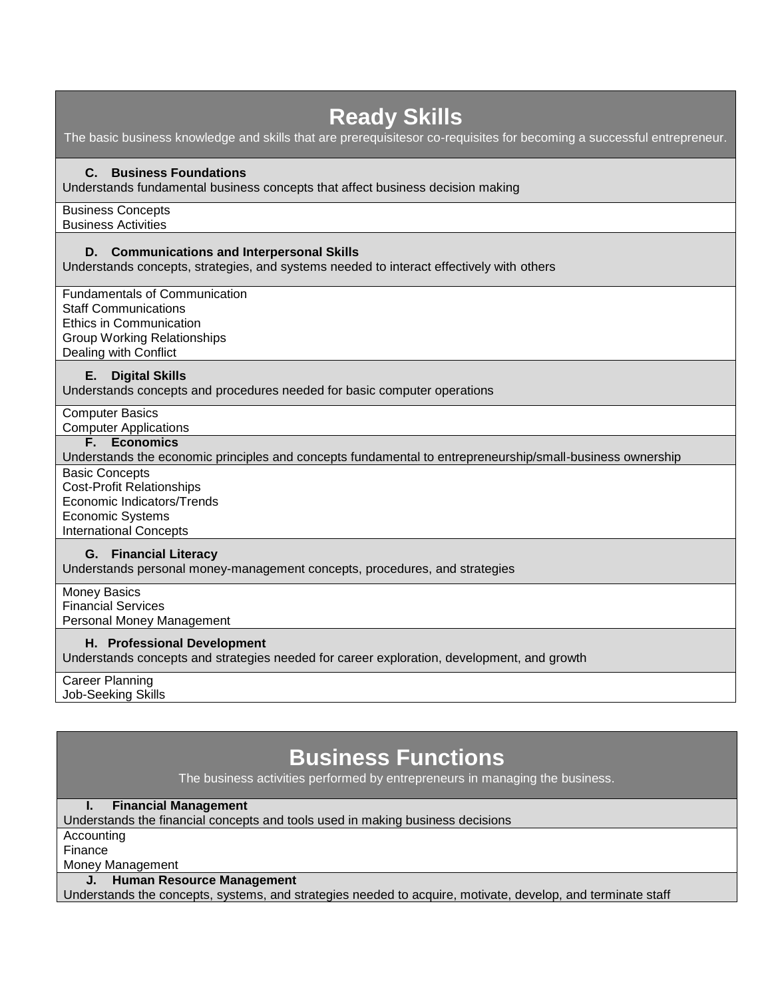## **Ready Skills** The basic business knowledge and skills that are prerequisitesor co-requisites for becoming a successful entrepreneur. **C. Business Foundations** Understands fundamental business concepts that affect business decision making Business Concepts Business Activities **D. Communications and Interpersonal Skills** Understands concepts, strategies, and systems needed to interact effectively with others Fundamentals of Communication Staff Communications Ethics in Communication Group Working Relationships Dealing with Conflict **E. Digital Skills** Understands concepts and procedures needed for basic computer operations Computer Basics Computer Applications **F. Economics** Understands the economic principles and concepts fundamental to entrepreneurship/small-business ownership Basic Concepts Cost-Profit Relationships Economic Indicators/Trends Economic Systems International Concepts **G. Financial Literacy** Understands personal money-management concepts, procedures, and strategies Money Basics Financial Services Personal Money Management **H. Professional Development** Understands concepts and strategies needed for career exploration, development, and growth Career Planning Job-Seeking Skills

## **Business Functions**

The business activities performed by entrepreneurs in managing the business.

### **I. Financial Management**

Understands the financial concepts and tools used in making business decisions

**Accounting** 

Finance

Money Management

**J. Human Resource Management**

Understands the concepts, systems, and strategies needed to acquire, motivate, develop, and terminate staff